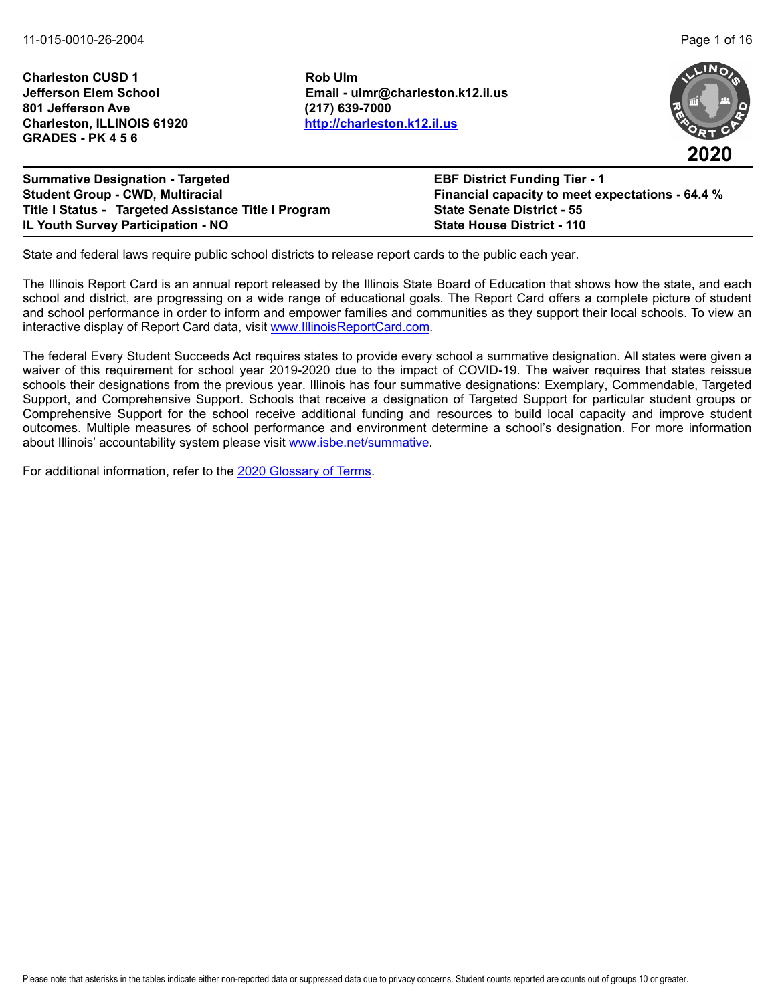**Charleston CUSD 1 Rob Ulm 801 Jefferson Ave (217) 639-7000 Charleston, ILLINOIS 61920 <http://charleston.k12.il.us> GRADES - PK 4 5 6**

**Jefferson Elem School Email - ulmr@charleston.k12.il.us**



**2020**

**Summative Designation - Targeted EBF District Funding Tier - 1 Student Group - CWD, Multiracial Financial capacity to meet expectations - 64.4 % Title I Status - Targeted Assistance Title I Program State Senate District - 55 IL Youth Survey Participation - NO State House District - 110**

State and federal laws require public school districts to release report cards to the public each year.

The Illinois Report Card is an annual report released by the Illinois State Board of Education that shows how the state, and each school and district, are progressing on a wide range of educational goals. The Report Card offers a complete picture of student and school performance in order to inform and empower families and communities as they support their local schools. To view an interactive display of Report Card data, visit [www.IllinoisReportCard.com](https://www.illinoisreportcard.com/).

The federal Every Student Succeeds Act requires states to provide every school a summative designation. All states were given a waiver of this requirement for school year 2019-2020 due to the impact of COVID-19. The waiver requires that states reissue schools their designations from the previous year. Illinois has four summative designations: Exemplary, Commendable, Targeted Support, and Comprehensive Support. Schools that receive a designation of Targeted Support for particular student groups or Comprehensive Support for the school receive additional funding and resources to build local capacity and improve student outcomes. Multiple measures of school performance and environment determine a school's designation. For more information [about Illinois' accountabil](https://www.isbe.net/summative)ity system please visit [www.isbe.net/summative.](http://www.isbe.net/summative)

For additional information, refer to th[e 2020 Glossary of Terms.](https://www.isbe.net/Documents/2020-Glossary-of-Terms.pdf)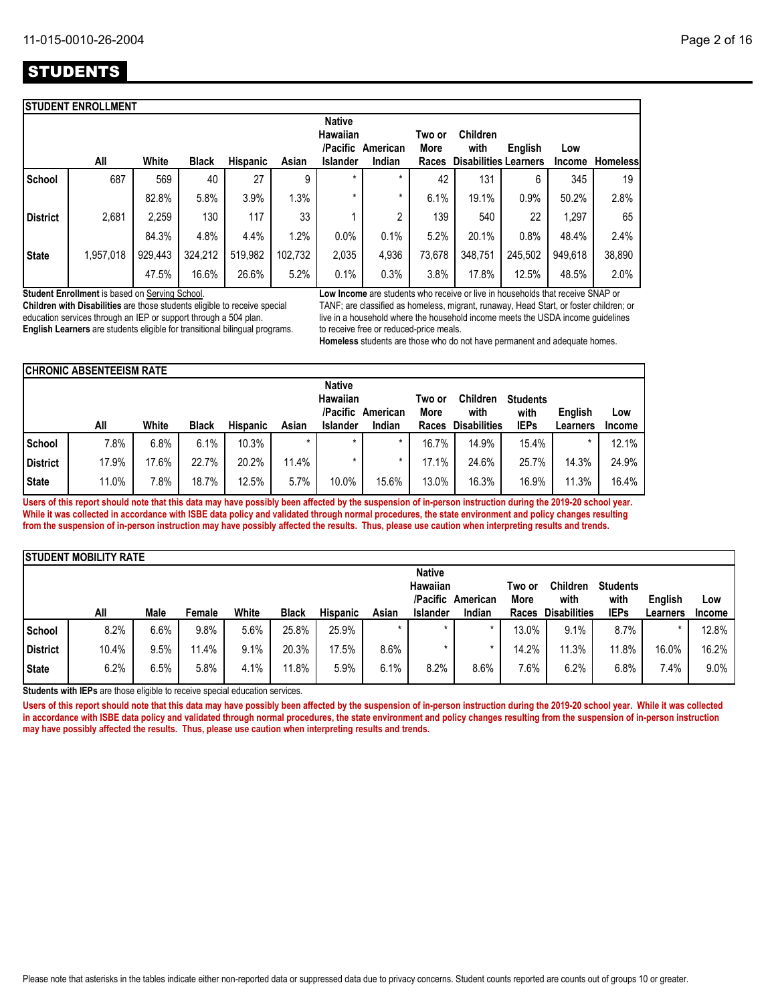|                 | <b>STUDENT ENROLLMENT</b> |         |              |                 |         |                                                          |                    |                         |                                                         |         |                      |                 |
|-----------------|---------------------------|---------|--------------|-----------------|---------|----------------------------------------------------------|--------------------|-------------------------|---------------------------------------------------------|---------|----------------------|-----------------|
|                 | All                       | White   | <b>Black</b> | <b>Hispanic</b> | Asian   | <b>Native</b><br><b>Hawaiian</b><br>/Pacific<br>Islander | American<br>Indian | Two or<br>More<br>Races | <b>Children</b><br>with<br><b>Disabilities Learners</b> | English | Low<br><b>Income</b> | <b>Homeless</b> |
| School          | 687                       | 569     | 40           | 27              | 9       | $\star$                                                  | $\star$            | 42                      | 131                                                     | 6       | 345                  | 19              |
|                 |                           | 82.8%   | 5.8%         | 3.9%            | 1.3%    | *                                                        | $\star$            | 6.1%                    | 19.1%                                                   | 0.9%    | 50.2%                | 2.8%            |
| <b>District</b> | 2,681                     | 2,259   | 130          | 117             | 33      |                                                          | 2                  | 139                     | 540                                                     | 22      | 1.297                | 65              |
|                 |                           | 84.3%   | 4.8%         | 4.4%            | 1.2%    | 0.0%                                                     | 0.1%               | 5.2%                    | 20.1%                                                   | 0.8%    | 48.4%                | 2.4%            |
| <b>State</b>    | 1,957,018                 | 929,443 | 324,212      | 519,982         | 102,732 | 2,035                                                    | 4,936              | 73,678                  | 348,751                                                 | 245,502 | 949,618              | 38,890          |
|                 |                           | 47.5%   | 16.6%        | 26.6%           | 5.2%    | 0.1%                                                     | 0.3%               | 3.8%                    | 17.8%                                                   | 12.5%   | 48.5%                | 2.0%            |

**Student Enrollment** is based on Serving School.

**Children with Disabilities** are those students eligible to receive special education services through an IEP or support through a 504 plan. **English Learners** are students eligible for transitional bilingual programs. **Low Income** are students who receive or live in households that receive SNAP or TANF; are classified as homeless, migrant, runaway, Head Start, or foster children; or live in a household where the household income meets the USDA income guidelines to receive free or reduced-price meals.

**Homeless** students are those who do not have permanent and adequate homes.

|                 | <b>CHRONIC ABSENTEEISM RATE</b> |       |              |                 |       |                           |          |        |                     |                 |                |               |
|-----------------|---------------------------------|-------|--------------|-----------------|-------|---------------------------|----------|--------|---------------------|-----------------|----------------|---------------|
|                 |                                 |       |              |                 |       | <b>Native</b><br>Hawaiian |          | Two or | <b>Children</b>     | <b>Students</b> |                |               |
|                 |                                 |       |              |                 |       | /Pacific                  | American | More   | with                | with            | <b>Enalish</b> | Low           |
|                 | All                             | White | <b>Black</b> | <b>Hispanic</b> | Asian | <b>Islander</b>           | Indian   | Races  | <b>Disabilities</b> | <b>IEPs</b>     | Learners       | <b>Income</b> |
| School          | 7.8%                            | 6.8%  | 6.1%         | 10.3%           |       |                           | $\star$  | 16.7%  | 14.9%               | 15.4%           | $\star$        | 12.1%         |
| <b>District</b> | 17.9%                           | 17.6% | 22.7%        | 20.2%           | 11.4% |                           | *        | 17.1%  | 24.6%               | 25.7%           | 14.3%          | 24.9%         |
| <b>State</b>    | 11.0%                           | 7.8%  | 18.7%        | 12.5%           | 5.7%  | 10.0%                     | 15.6%    | 13.0%  | 16.3%               | 16.9%           | 11.3%          | 16.4%         |

**Users of this report should note that this data may have possibly been affected by the suspension of in-person instruction during the 2019-20 school year. While it was collected in accordance with ISBE data policy and validated through normal procedures, the state environment and policy changes resulting from the suspension of in-person instruction may have possibly affected the results. Thus, please use caution when interpreting results and trends.**

|                 | <b>ISTUDENT MOBILITY RATE</b> |      |        |       |              |                 |         |                 |          |        |                     |                 |          |               |
|-----------------|-------------------------------|------|--------|-------|--------------|-----------------|---------|-----------------|----------|--------|---------------------|-----------------|----------|---------------|
|                 |                               |      |        |       |              |                 |         | <b>Native</b>   |          |        |                     |                 |          |               |
|                 |                               |      |        |       |              |                 |         | Hawaiian        |          | Two or | <b>Children</b>     | <b>Students</b> |          |               |
|                 |                               |      |        |       |              |                 |         | /Pacific        | American | More   | with                | with            | English  | Low           |
|                 | All                           | Male | Female | White | <b>Black</b> | <b>Hispanic</b> | Asian   | <b>Islander</b> | Indian   | Races  | <b>Disabilities</b> | <b>IEPs</b>     | Learners | <b>Income</b> |
| <b>School</b>   | 8.2%                          | 6.6% | 9.8%   | 5.6%  | 25.8%        | 25.9%           | $\star$ | $\star$         |          | 13.0%  | 9.1%                | 8.7%            |          | 12.8%         |
| <b>District</b> | 10.4%                         | 9.5% | 11.4%  | 9.1%  | 20.3%        | 17.5%           | 8.6%    |                 |          | 14.2%  | 11.3%               | 11.8%           | 16.0%    | 16.2%         |
| <b>State</b>    | 6.2%                          | 6.5% | 5.8%   | 4.1%  | 11.8%        | 5.9%            | 6.1%    | 8.2%            | 8.6%     | 7.6%   | 6.2%                | 6.8%            | 7.4%     | 9.0%          |

**Students with IEPs** are those eligible to receive special education services.

Users of this report should note that this data may have possibly been affected by the suspension of in-person instruction during the 2019-20 school year. While it was collected **in accordance with ISBE data policy and validated through normal procedures, the state environment and policy changes resulting from the suspension of in-person instruction may have possibly affected the results. Thus, please use caution when interpreting results and trends.**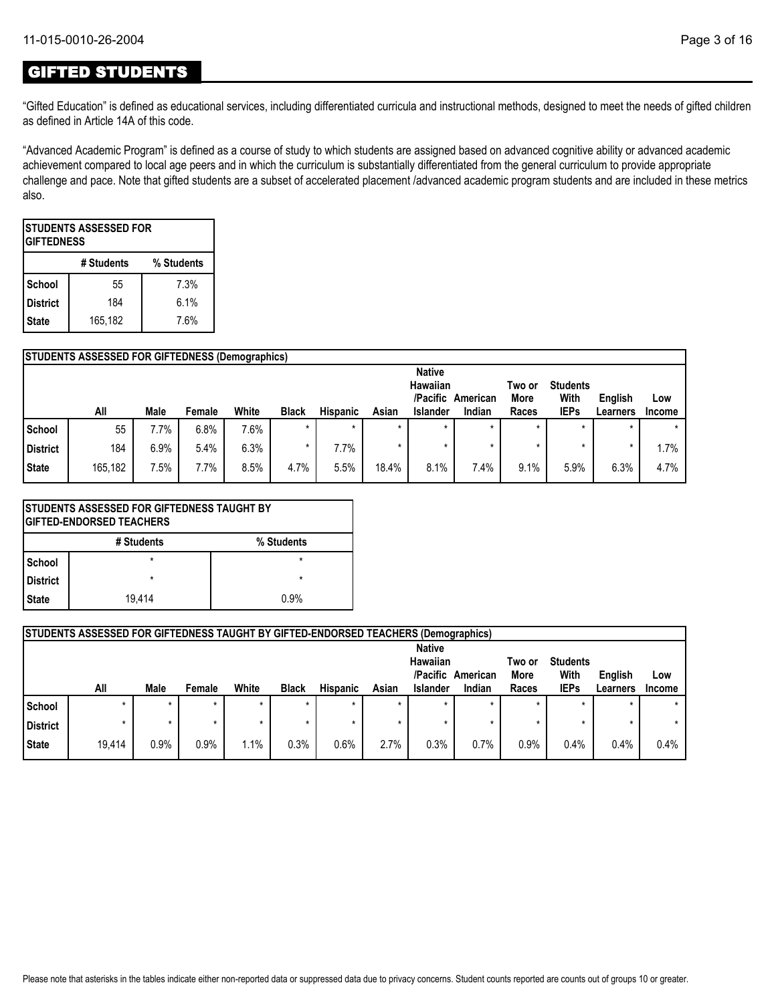## GIFTED STUDENTS

"Gifted Education" is defined as educational services, including differentiated curricula and instructional methods, designed to meet the needs of gifted children as defined in Article 14A of this code.

"Advanced Academic Program" is defined as a course of study to which students are assigned based on advanced cognitive ability or advanced academic achievement compared to local age peers and in which the curriculum is substantially differentiated from the general curriculum to provide appropriate challenge and pace. Note that gifted students are a subset of accelerated placement /advanced academic program students and are included in these metrics also.

| ISTUDENTS ASSESSED FOR<br><b>GIFTEDNESS</b> |         |      |  |  |  |  |  |  |
|---------------------------------------------|---------|------|--|--|--|--|--|--|
| # Students<br>% Students                    |         |      |  |  |  |  |  |  |
| School                                      | 55      | 7.3% |  |  |  |  |  |  |
| <b>District</b>                             | 184     | 6.1% |  |  |  |  |  |  |
| <b>State</b>                                | 165,182 | 7.6% |  |  |  |  |  |  |

|               | <b>STUDENTS ASSESSED FOR GIFTEDNESS (Demographics)</b> |      |         |       |              |                 |         |                                       |          |                |                         |          |               |
|---------------|--------------------------------------------------------|------|---------|-------|--------------|-----------------|---------|---------------------------------------|----------|----------------|-------------------------|----------|---------------|
|               |                                                        |      |         |       |              |                 |         | <b>Native</b><br>Hawaiian<br>/Pacific | American | Two or<br>More | <b>Students</b><br>With | English  | Low           |
|               | All                                                    | Male | Female  | White | <b>Black</b> | <b>Hispanic</b> | Asian   | <b>Islander</b>                       | Indian   | Races          | <b>IEPs</b>             | Learners | <b>Income</b> |
| <b>School</b> | 55                                                     | 7.7% | 6.8%    | 7.6%  | $\star$      | $\star$         | $\star$ |                                       |          | $\star$        |                         |          | $\star$       |
| District      | 184                                                    | 6.9% | $5.4\%$ | 6.3%  | $\star$      | $7.7\%$         | $\star$ |                                       |          | $\star$        |                         |          | .7%           |
| State         | 165,182                                                | 7.5% | 7.7%    | 8.5%  | 4.7%         | 5.5%            | 18.4%   | 8.1%                                  | 7.4%     | 9.1%           | 5.9%                    | 6.3%     | 4.7%          |

|            | <b>STUDENTS ASSESSED FOR GIFTEDNESS TAUGHT BY</b><br><b>IGIFTED-ENDORSED TEACHERS</b> |         |  |  |  |  |  |  |
|------------|---------------------------------------------------------------------------------------|---------|--|--|--|--|--|--|
|            | # Students<br>% Students                                                              |         |  |  |  |  |  |  |
| l School   | $\star$                                                                               | $\star$ |  |  |  |  |  |  |
| l District | $\star$                                                                               | $\star$ |  |  |  |  |  |  |
| l State    | 19.414<br>0.9%                                                                        |         |  |  |  |  |  |  |

|                 | <b>STUDENTS ASSESSED FOR GIFTEDNESS TAUGHT BY GIFTED-ENDORSED TEACHERS (Demographics)</b> |         |        |       |              |                 |         |                                                   |                    |                         |                                        |                     |               |
|-----------------|-------------------------------------------------------------------------------------------|---------|--------|-------|--------------|-----------------|---------|---------------------------------------------------|--------------------|-------------------------|----------------------------------------|---------------------|---------------|
|                 | All                                                                                       | Male    | Female | White | <b>Black</b> | <b>Hispanic</b> | Asian   | <b>Native</b><br>Hawaiian<br>/Pacific<br>Islander | American<br>Indian | Two or<br>More<br>Races | <b>Students</b><br>With<br><b>IEPs</b> | English<br>Learners | Low<br>Income |
| School          |                                                                                           | $\star$ |        |       | $\star$      |                 |         |                                                   |                    | $\star$                 | $\star$                                |                     |               |
| <b>District</b> |                                                                                           | $\star$ |        |       | $\star$      |                 | $\star$ |                                                   |                    |                         | $\star$                                |                     |               |
| <b>State</b>    | 19.414                                                                                    | 0.9%    | 0.9%   | 1.1%  | 0.3%         | 0.6%            | 2.7%    | 0.3%                                              | 0.7%               | 0.9%                    | 0.4%                                   | 0.4%                | 0.4%          |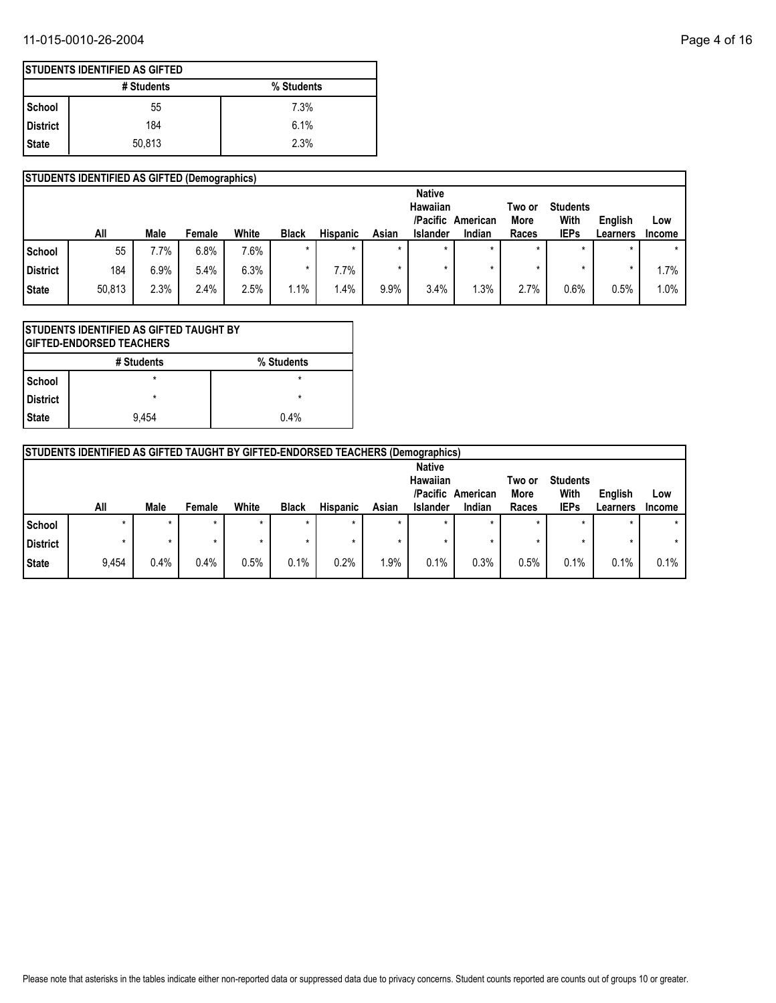### 11-015-0010-26-2004 Page 4 of 16

|                 | <b>STUDENTS IDENTIFIED AS GIFTED (Demographics)</b> |      |        |       |              |                 |         |                      |                    |               |                     |                     |                      |
|-----------------|-----------------------------------------------------|------|--------|-------|--------------|-----------------|---------|----------------------|--------------------|---------------|---------------------|---------------------|----------------------|
|                 |                                                     |      |        |       |              |                 |         | <b>Native</b>        |                    |               |                     |                     |                      |
|                 |                                                     |      |        |       |              |                 |         | Hawaiian             |                    | Two or        | <b>Students</b>     |                     |                      |
|                 | All                                                 | Male | Female | White | <b>Black</b> | <b>Hispanic</b> | Asian   | /Pacific<br>Islander | American<br>Indian | More<br>Races | With<br><b>IEPs</b> | English<br>Learners | LOW<br><b>Income</b> |
|                 |                                                     |      |        |       |              |                 |         |                      |                    |               |                     |                     |                      |
| School          | 55                                                  | '.7% | 6.8%   | 7.6%  | $\star$      |                 | $\star$ | $\star$              | $\star$            | $\star$       | ÷                   | $\star$             | $\star$              |
| <b>District</b> | 184                                                 | 6.9% | 5.4%   | 6.3%  |              | 7.7%            |         |                      |                    |               |                     |                     | $.7\%$               |
| <b>State</b>    | 50,813                                              | 2.3% | 2.4%   | 2.5%  | $1.1\%$      | $1.4\%$         | 9.9%    | 3.4%                 | .3%                | 2.7%          | 0.6%                | 0.5%                | $1.0\%$              |

| STUDENTS IDENTIFIED AS GIFTED TAUGHT BY<br><b>GIFTED-ENDORSED TEACHERS</b> |                    |  |  |  |  |  |  |  |
|----------------------------------------------------------------------------|--------------------|--|--|--|--|--|--|--|
| % Students<br># Students                                                   |                    |  |  |  |  |  |  |  |
| <b>School</b>                                                              | $\star$            |  |  |  |  |  |  |  |
| <b>District</b>                                                            | $\star$<br>$\star$ |  |  |  |  |  |  |  |
| <b>State</b>                                                               | 0.4%<br>9.454      |  |  |  |  |  |  |  |

|                                                   | <b>STUDENTS IDENTIFIED AS GIFTED TAUGHT BY GIFTED-ENDORSED TEACHERS (Demographics)</b> |         |         |       |              |                 |         |          |                |                         |             |          |               |
|---------------------------------------------------|----------------------------------------------------------------------------------------|---------|---------|-------|--------------|-----------------|---------|----------|----------------|-------------------------|-------------|----------|---------------|
| <b>Native</b><br>Hawaiian<br>/Pacific<br>American |                                                                                        |         |         |       |              |                 |         |          | Two or<br>More | <b>Students</b><br>With | English     | Low      |               |
|                                                   | All                                                                                    | Male    | Female  | White | <b>Black</b> | <b>Hispanic</b> | Asian   | Islander | Indian         | Races                   | <b>IEPs</b> | Learners | <b>Income</b> |
| School                                            | $\star$                                                                                | $\star$ | $\star$ | ÷     | $\star$      | $\star$         | $\star$ |          |                | *                       | $\star$     | $\star$  |               |
| District                                          |                                                                                        |         |         |       | ÷            |                 |         |          |                |                         |             | *        |               |
| State                                             | 9,454                                                                                  | 0.4%    | 0.4%    | 0.5%  | 0.1%         | 0.2%            | 1.9%    | 0.1%     | 0.3%           | 0.5%                    | 0.1%        | 0.1%     | 0.1%          |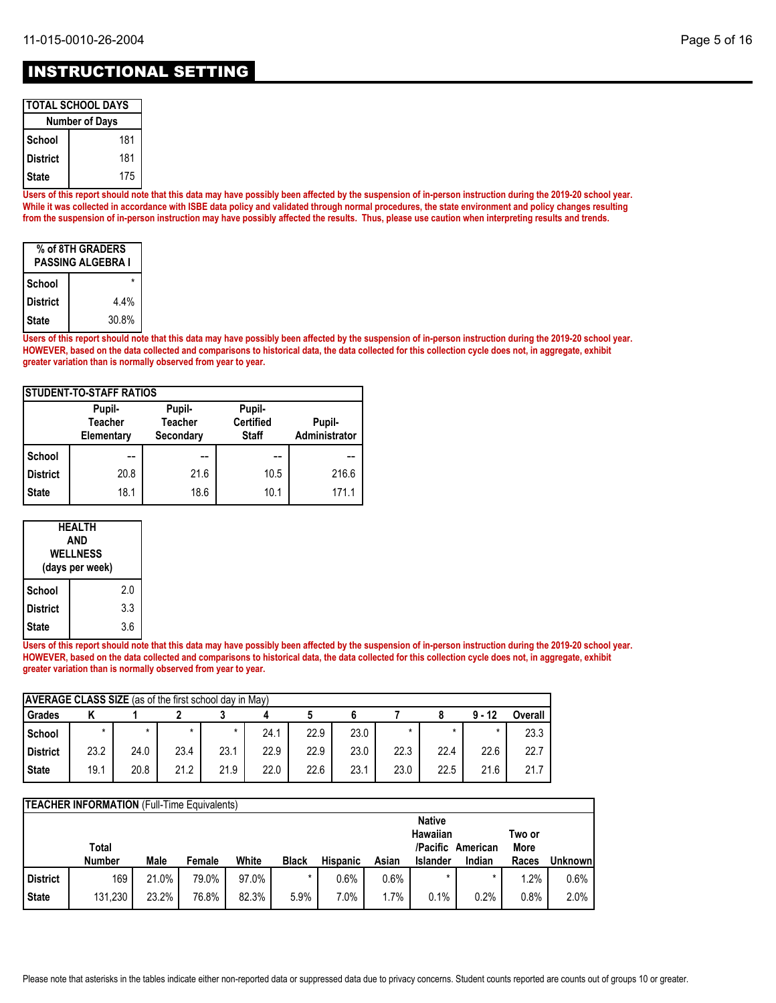## INSTRUCTIONAL SETTING

| <b>TOTAL SCHOOL DAYS</b> |     |  |  |  |  |  |  |
|--------------------------|-----|--|--|--|--|--|--|
| <b>Number of Days</b>    |     |  |  |  |  |  |  |
| School                   | 181 |  |  |  |  |  |  |
| District                 | 181 |  |  |  |  |  |  |
| 175<br>State             |     |  |  |  |  |  |  |

**Users of this report should note that this data may have possibly been affected by the suspension of in-person instruction during the 2019-20 school year. While it was collected in accordance with ISBE data policy and validated through normal procedures, the state environment and policy changes resulting from the suspension of in-person instruction may have possibly affected the results. Thus, please use caution when interpreting results and trends.**

| % of 8TH GRADERS<br><b>PASSING ALGEBRA I</b> |       |  |  |  |  |  |  |
|----------------------------------------------|-------|--|--|--|--|--|--|
| School                                       |       |  |  |  |  |  |  |
| <b>District</b>                              | 4.4%  |  |  |  |  |  |  |
| State                                        | 30.8% |  |  |  |  |  |  |

**Users of this report should note that this data may have possibly been affected by the suspension of in-person instruction during the 2019-20 school year. HOWEVER, based on the data collected and comparisons to historical data, the data collected for this collection cycle does not, in aggregate, exhibit greater variation than is normally observed from year to year.**

| <b>ISTUDENT-TO-STAFF RATIOS</b> |                                        |                                       |                                            |                         |  |  |  |  |  |  |
|---------------------------------|----------------------------------------|---------------------------------------|--------------------------------------------|-------------------------|--|--|--|--|--|--|
|                                 | Pupil-<br><b>Teacher</b><br>Elementary | Pupil-<br><b>Teacher</b><br>Secondary | Pupil-<br><b>Certified</b><br><b>Staff</b> | Pupil-<br>Administrator |  |  |  |  |  |  |
| School                          | --                                     | --                                    | --                                         |                         |  |  |  |  |  |  |
| <b>District</b>                 | 20.8                                   | 21.6                                  | 10.5                                       | 216.6                   |  |  |  |  |  |  |
| <b>State</b>                    | 18.1                                   | 18.6                                  | 10.1                                       | 171.1                   |  |  |  |  |  |  |

|                        | HEALTH<br>AND<br><b>WELLNESS</b><br>(days per week) |  |  |  |  |  |  |
|------------------------|-----------------------------------------------------|--|--|--|--|--|--|
| School                 | 2.0                                                 |  |  |  |  |  |  |
| 3.3<br><b>District</b> |                                                     |  |  |  |  |  |  |
| State                  | 3.6                                                 |  |  |  |  |  |  |

**Users of this report should note that this data may have possibly been affected by the suspension of in-person instruction during the 2019-20 school year. HOWEVER, based on the data collected and comparisons to historical data, the data collected for this collection cycle does not, in aggregate, exhibit greater variation than is normally observed from year to year.**

|                 | <b>AVERAGE CLASS SIZE</b> (as of the first school day in May) |         |      |      |      |      |      |        |      |          |                |  |  |
|-----------------|---------------------------------------------------------------|---------|------|------|------|------|------|--------|------|----------|----------------|--|--|
| Grades          |                                                               |         |      |      |      |      |      |        |      | $9 - 12$ | <b>Overall</b> |  |  |
| School          | ÷                                                             | $\star$ |      |      | 24.1 | 22.9 | 23.0 | $\ast$ |      |          | 23.3           |  |  |
| <b>District</b> | 23.2                                                          | 24.0    | 23.4 | 23.1 | 22.9 | 22.9 | 23.0 | 22.3   | 22.4 | 22.6     | 22.7           |  |  |
| <b>State</b>    | 19.1                                                          | 20.8    | 21.2 | 21.9 | 22.0 | 22.6 | 23.1 | 23.0   | 22.5 | 21.6     | 21.7           |  |  |

|                 | <b>TEACHER INFORMATION</b> (Full-Time Equivalents) |       |        |       |              |                 |       |          |                             |               |          |  |
|-----------------|----------------------------------------------------|-------|--------|-------|--------------|-----------------|-------|----------|-----------------------------|---------------|----------|--|
|                 | <b>Native</b>                                      |       |        |       |              |                 |       |          |                             |               |          |  |
|                 |                                                    |       |        |       |              |                 |       | Hawaiian |                             | Two or        |          |  |
|                 | Total<br><b>Number</b>                             | Male  | Female | White | <b>Black</b> | <b>Hispanic</b> | Asian | Islander | /Pacific American<br>Indian | More<br>Races | Unknownl |  |
|                 |                                                    |       |        |       |              |                 |       |          |                             |               |          |  |
| <b>District</b> | 169                                                | 21.0% | 79.0%  | 97.0% | *            | 0.6%            | 0.6%  |          |                             | 1.2%          | 0.6%     |  |
| <b>State</b>    | 131,230                                            | 23.2% | 76.8%  | 82.3% | 5.9%         | 7.0%            | 1.7%  | 0.1%     | 0.2%                        | 0.8%          | 2.0%     |  |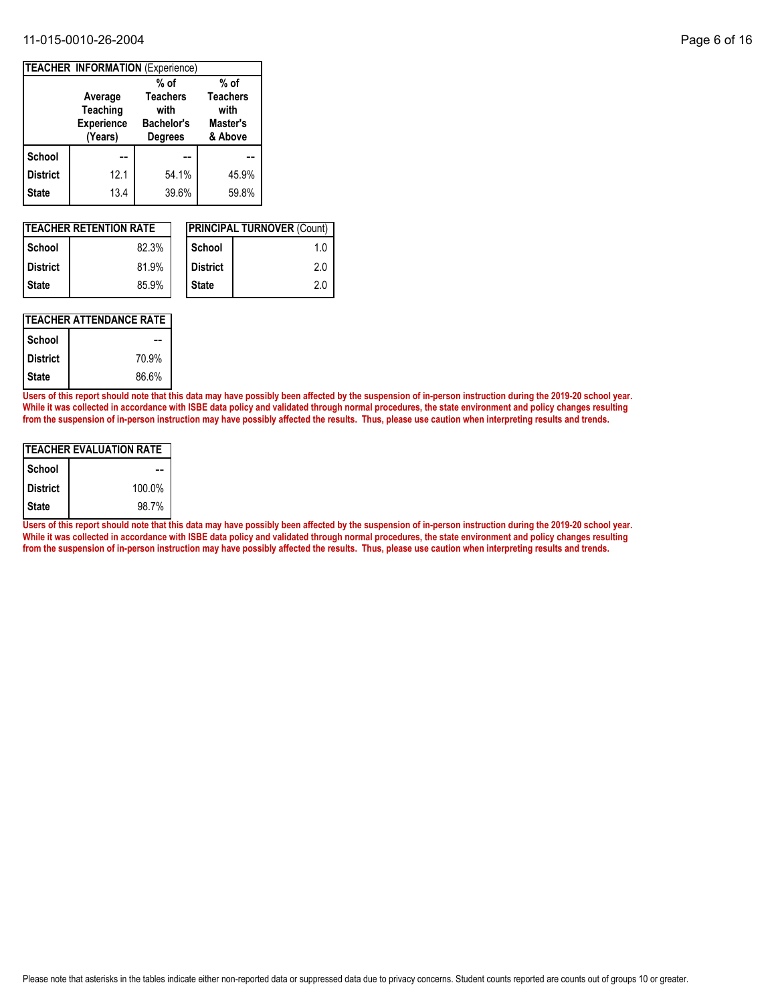#### 11-015-0010-26-2004 Page 6 of 16

|                 | <b>TEACHER INFORMATION (Experience)</b>                    |                                                                |                                                |  |  |  |  |  |  |  |  |
|-----------------|------------------------------------------------------------|----------------------------------------------------------------|------------------------------------------------|--|--|--|--|--|--|--|--|
|                 |                                                            | $%$ of                                                         | $%$ of                                         |  |  |  |  |  |  |  |  |
|                 | Average<br><b>Teaching</b><br><b>Experience</b><br>(Years) | <b>Teachers</b><br>with<br><b>Bachelor's</b><br><b>Degrees</b> | <b>Teachers</b><br>with<br>Master's<br>& Above |  |  |  |  |  |  |  |  |
| <b>School</b>   |                                                            |                                                                |                                                |  |  |  |  |  |  |  |  |
| <b>District</b> | 12.1                                                       | 54.1%                                                          | 45.9%                                          |  |  |  |  |  |  |  |  |
| <b>State</b>    | 13.4                                                       | 39.6%                                                          | 59.8%                                          |  |  |  |  |  |  |  |  |

|                 | <b>ITEACHER RETENTION RATE</b> |                 | <b>IPRINCIPAL TURNOVER (Count)</b> |
|-----------------|--------------------------------|-----------------|------------------------------------|
| l School        | 82.3%                          | School          | 1.0                                |
| <b>District</b> | 81.9%                          | <b>District</b> | 2.0                                |
| l State         | 85.9%                          | <b>State</b>    | 2.0                                |

### **TEACHER ATTENDANCE RATE**

| School          |       |
|-----------------|-------|
| <b>District</b> | 70.9% |
| <b>State</b>    | 86.6% |

**Users of this report should note that this data may have possibly been affected by the suspension of in-person instruction during the 2019-20 school year. While it was collected in accordance with ISBE data policy and validated through normal procedures, the state environment and policy changes resulting from the suspension of in-person instruction may have possibly affected the results. Thus, please use caution when interpreting results and trends.**

| ITEACHER EVALUATION RATE |        |  |  |  |  |  |  |  |
|--------------------------|--------|--|--|--|--|--|--|--|
| School                   |        |  |  |  |  |  |  |  |
| <b>District</b>          | 100.0% |  |  |  |  |  |  |  |
| <b>State</b>             | 98.7%  |  |  |  |  |  |  |  |

**Users of this report should note that this data may have possibly been affected by the suspension of in-person instruction during the 2019-20 school year. While it was collected in accordance with ISBE data policy and validated through normal procedures, the state environment and policy changes resulting from the suspension of in-person instruction may have possibly affected the results. Thus, please use caution when interpreting results and trends.**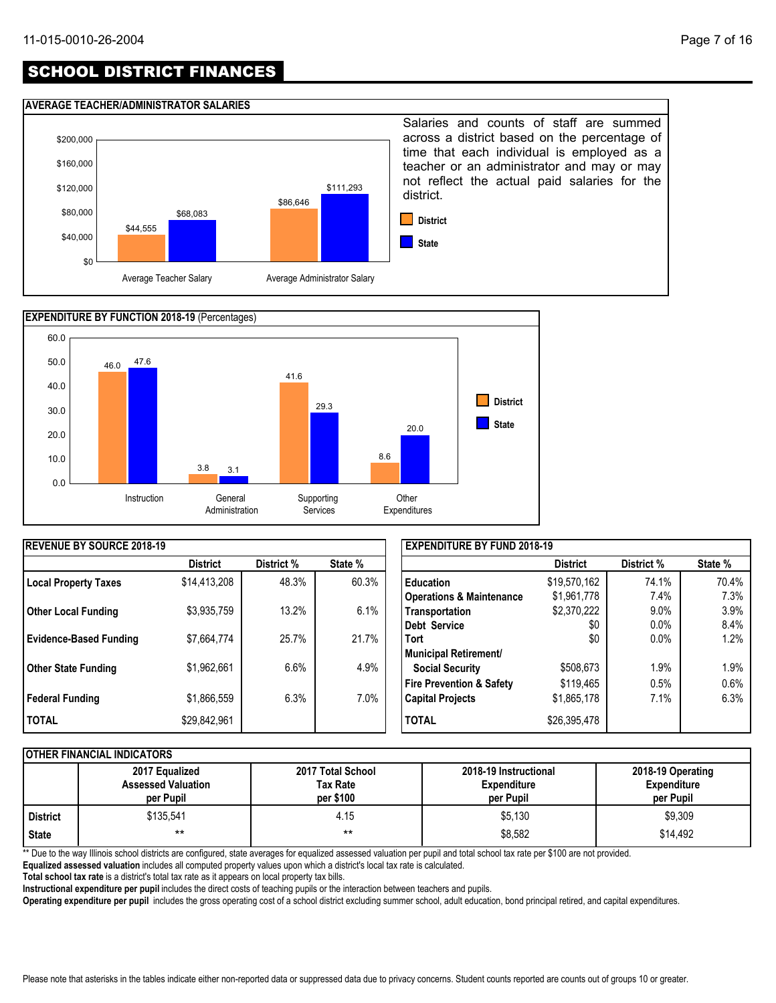# SCHOOL DISTRICT FINANCES

#### **AVERAGE TEACHER/ADMINISTRATOR SALARIES**





| <b>IREVENUE BY SOURCE 2018-19</b> |                 |            |         | <b>EXPENDITURE BY FUND 2018-19</b>  |                 |            |         |
|-----------------------------------|-----------------|------------|---------|-------------------------------------|-----------------|------------|---------|
|                                   | <b>District</b> | District % | State % |                                     | <b>District</b> | District % | State % |
| <b>Local Property Taxes</b>       | \$14,413,208    | 48.3%      | 60.3%   | <b>Education</b>                    | \$19,570,162    | 74.1%      | 70.4%   |
|                                   |                 |            |         | <b>Operations &amp; Maintenance</b> | \$1,961,778     | 7.4%       | 7.3%    |
| <b>Other Local Funding</b>        | \$3,935,759     | 13.2%      | 6.1%    | Transportation                      | \$2,370,222     | 9.0%       | 3.9%    |
|                                   |                 |            |         | Debt Service                        | \$0             | $0.0\%$    | 8.4%    |
| <b>Evidence-Based Funding</b>     | \$7,664,774     | 25.7%      | 21.7%   | <b>Tort</b>                         | \$0             | $0.0\%$    | 1.2%    |
|                                   |                 |            |         | Municipal Retirement/               |                 |            |         |
| <b>Other State Funding</b>        | \$1,962,661     | 6.6%       | 4.9%    | <b>Social Security</b>              | \$508,673       | $1.9\%$    | 1.9%    |
|                                   |                 |            |         | <b>Fire Prevention &amp; Safety</b> | \$119,465       | 0.5%       | 0.6%    |
| <b>Federal Funding</b>            | \$1,866,559     | 6.3%       | 7.0%    | <b>Capital Projects</b>             | \$1,865,178     | 7.1%       | 6.3%    |
| <b>I TOTAL</b>                    | \$29,842,961    |            |         | <b>TOTAL</b>                        | \$26,395,478    |            |         |

#### **OTHER FINANCIAL INDICATORS**

|                 | 2017 Equalized<br><b>Assessed Valuation</b><br>per Pupil | 2017 Total School<br>Tax Rate<br>per \$100 | 2018-19 Instructional<br><b>Expenditure</b><br>per Pupil | 2018-19 Operating<br><b>Expenditure</b><br>per Pupil |
|-----------------|----------------------------------------------------------|--------------------------------------------|----------------------------------------------------------|------------------------------------------------------|
| <b>District</b> | \$135.541                                                | 4.15                                       | \$5,130                                                  | \$9,309                                              |
| <b>State</b>    | $***$                                                    | $***$                                      | \$8,582                                                  | \$14,492                                             |

\*\* Due to the way Illinois school districts are configured, state averages for equalized assessed valuation per pupil and total school tax rate per \$100 are not provided.

**Equalized assessed valuation** includes all computed property values upon which a district's local tax rate is calculated.

**Total school tax rate** is a district's total tax rate as it appears on local property tax bills.

**Instructional expenditure per pupil** includes the direct costs of teaching pupils or the interaction between teachers and pupils.

**Operating expenditure per pupil** includes the gross operating cost of a school district excluding summer school, adult education, bond principal retired, and capital expenditures.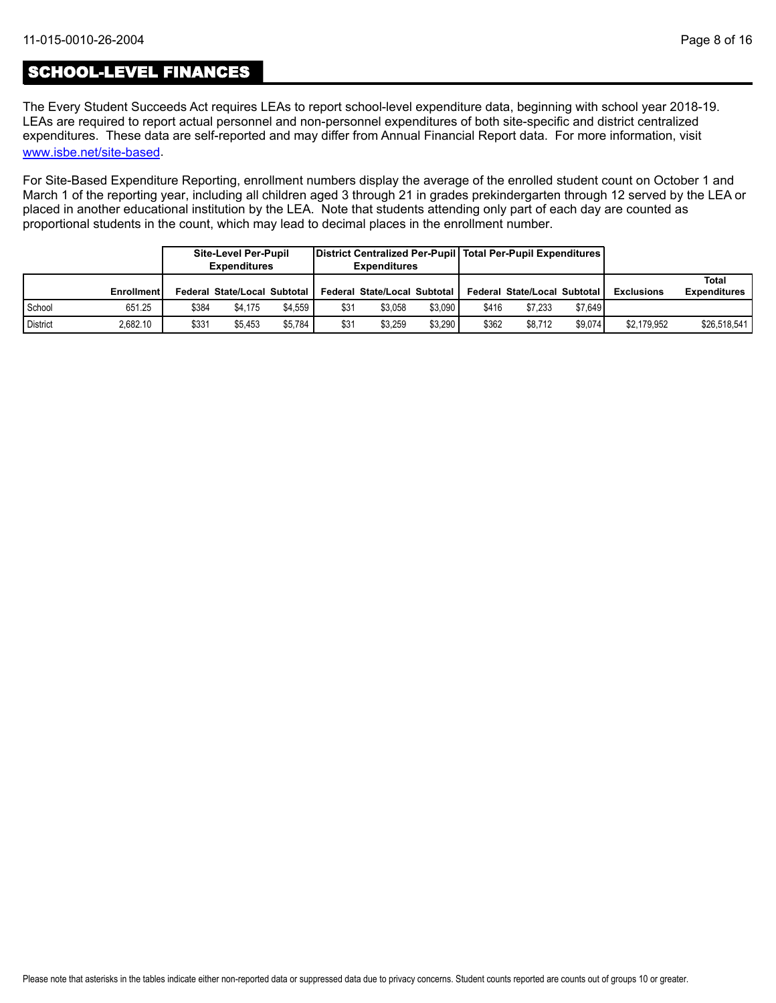## SCHOOL-LEVEL FINANCES

[www.isbe.net/site-based](https://www.isbe.net/site-based). The Every Student Succeeds Act requires LEAs to report school-level expenditure data, beginning with school year 2018-19. LEAs are required to report actual personnel and non-personnel expenditures of both site-specific and district centralized expenditures. These data are self-reported and may differ from Annual Financial Report data. For more information, visit

For Site-Based Expenditure Reporting, enrollment numbers display the average of the enrolled student count on October 1 and March 1 of the reporting year, including all children aged 3 through 21 in grades prekindergarten through 12 served by the LEA or placed in another educational institution by the LEA. Note that students attending only part of each day are counted as proportional students in the count, which may lead to decimal places in the enrollment number.

|                 |                   | <b>Site-Level Per-Pupil</b><br><b>Expenditures</b> |                                | District Centralized Per-Pupil   Total Per-Pupil Expenditures  <br><b>Expenditures</b> |      |                              |         |       |                              |         |                   |                              |
|-----------------|-------------------|----------------------------------------------------|--------------------------------|----------------------------------------------------------------------------------------|------|------------------------------|---------|-------|------------------------------|---------|-------------------|------------------------------|
|                 | <b>Enrollment</b> |                                                    | Federal State/Local Subtotal I |                                                                                        |      | Federal State/Local Subtotal |         |       | Federal State/Local Subtotal |         | <b>Exclusions</b> | Total<br><b>Expenditures</b> |
| School          | 651.25            | \$384                                              | \$4.175                        | \$4.559                                                                                | \$31 | \$3.058                      | \$3.090 | \$416 | \$7.233                      | \$7.649 |                   |                              |
| <b>District</b> | 2,682.10          | \$331                                              | \$5.453                        | \$5.784                                                                                | \$31 | \$3.259                      | \$3.290 | \$362 | \$8.712                      | \$9.074 | \$2,179,952       | \$26,518,541                 |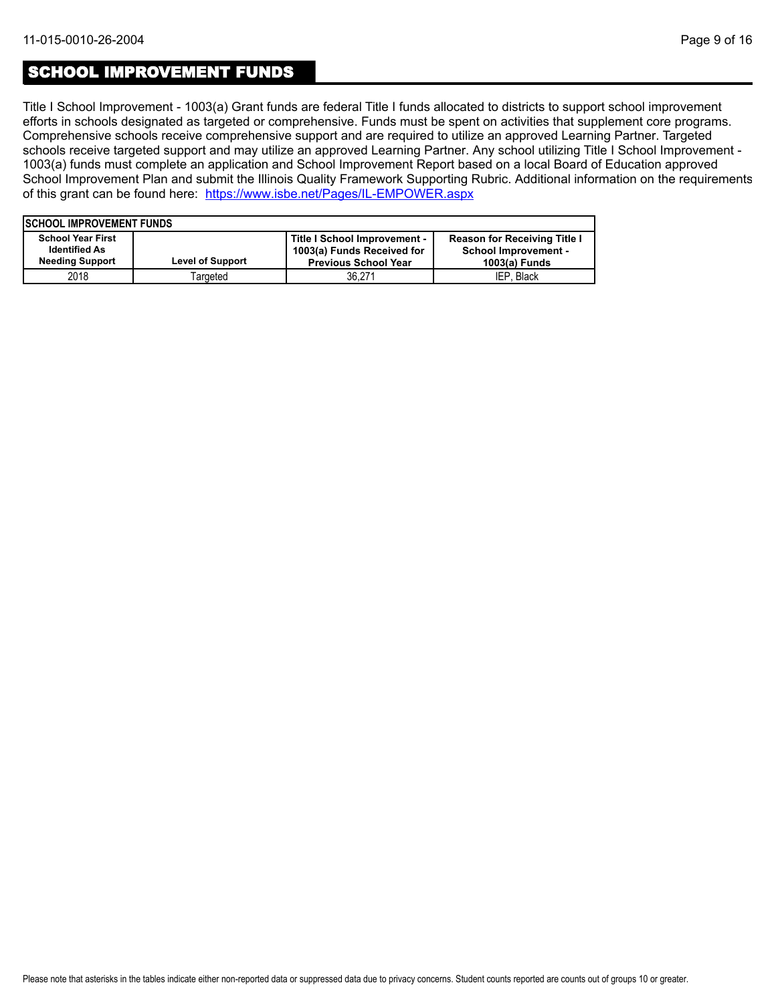### SCHOOL IMPROVEMENT FUNDS

Title I School Improvement - 1003(a) Grant funds are federal Title I funds allocated to districts to support school improvement efforts in schools designated as targeted or comprehensive. Funds must be spent on activities that supplement core programs. Comprehensive schools receive comprehensive support and are required to utilize an approved Learning Partner. Targeted schools receive targeted support and may utilize an approved Learning Partner. Any school utilizing Title I School Improvement - 1003(a) funds must complete an application and School Improvement Report based on a local Board of Education approved School Improvement Plan and submit the Illinois Quality Framework Supporting Rubric. Additional information on the requirements of this grant can be found here:<https://www.isbe.net/Pages/IL-EMPOWER.aspx>

|                          | <b>ISCHOOL IMPROVEMENT FUNDS</b> |                              |                                     |  |  |  |  |  |  |  |  |  |
|--------------------------|----------------------------------|------------------------------|-------------------------------------|--|--|--|--|--|--|--|--|--|
| <b>School Year First</b> |                                  | Title I School Improvement - | <b>Reason for Receiving Title I</b> |  |  |  |  |  |  |  |  |  |
| <b>Identified As</b>     |                                  | 1003(a) Funds Received for   | <b>School Improvement -</b>         |  |  |  |  |  |  |  |  |  |
| <b>Needing Support</b>   | <b>Level of Support</b>          | <b>Previous School Year</b>  | 1003(a) Funds                       |  |  |  |  |  |  |  |  |  |
| 2018                     | Targeted                         | 36.271                       | IEP. Black                          |  |  |  |  |  |  |  |  |  |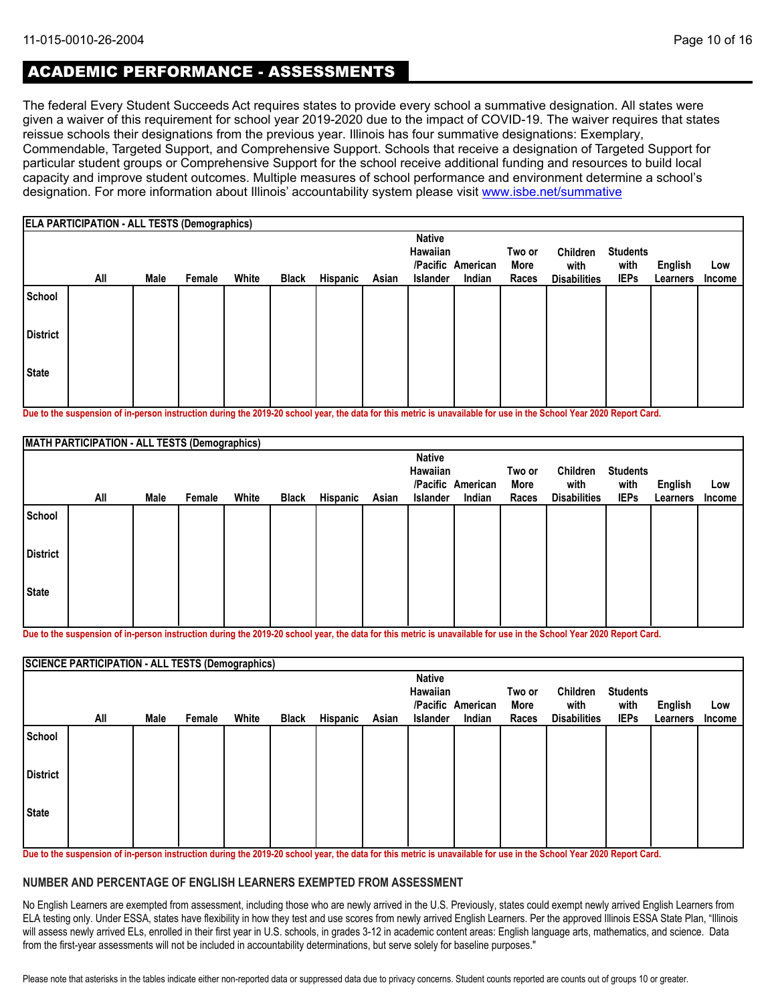# ACADEMIC PERFORMANCE - ASSESSMENTS

The federal Every Student Succeeds Act requires states to provide every school a summative designation. All states were given a waiver of this requirement for school year 2019-2020 due to the impact of COVID-19. The waiver requires that states reissue schools their designations from the previous year. Illinois has four summative designations: Exemplary, Commendable, Targeted Support, and Comprehensive Support. Schools that receive a designation of Targeted Support for particular student groups or Comprehensive Support for the school receive additional funding and resources to build local capacity and improve student outcomes. Multiple measures of school performance and environment determine a school's designation. For more information about Illinois' accountability system please visit [www.isbe.net/summative](http://www.isbe.net/summative)

|                 | <b>ELA PARTICIPATION - ALL TESTS (Demographics)</b> |      |        |       |              |          |       |                                              |                             |                         |                                         |                                        |                            |                      |
|-----------------|-----------------------------------------------------|------|--------|-------|--------------|----------|-------|----------------------------------------------|-----------------------------|-------------------------|-----------------------------------------|----------------------------------------|----------------------------|----------------------|
|                 | All                                                 | Male | Female | White | <b>Black</b> | Hispanic | Asian | <b>Native</b><br>Hawaiian<br><b>Islander</b> | /Pacific American<br>Indian | Two or<br>More<br>Races | Children<br>with<br><b>Disabilities</b> | <b>Students</b><br>with<br><b>IEPs</b> | <b>English</b><br>Learners | Low<br><b>Income</b> |
| School          |                                                     |      |        |       |              |          |       |                                              |                             |                         |                                         |                                        |                            |                      |
| <b>District</b> |                                                     |      |        |       |              |          |       |                                              |                             |                         |                                         |                                        |                            |                      |
| <b>State</b>    |                                                     |      |        |       |              |          |       |                                              |                             |                         |                                         |                                        |                            |                      |

**Due to the suspension of in-person instruction during the 2019-20 school year, the data for this metric is unavailable for use in the School Year 2020 Report Card.**

|                 | MATH PARTICIPATION - ALL TESTS (Demographics) |      |        |       |              |          |       |                           |                   |        |                     |                 |          |        |
|-----------------|-----------------------------------------------|------|--------|-------|--------------|----------|-------|---------------------------|-------------------|--------|---------------------|-----------------|----------|--------|
|                 |                                               |      |        |       |              |          |       | <b>Native</b><br>Hawaiian |                   | Two or | Children            | <b>Students</b> |          |        |
|                 |                                               |      |        |       |              |          |       |                           | /Pacific American | More   | with                | with            | English  | Low    |
|                 | All                                           | Male | Female | White | <b>Black</b> | Hispanic | Asian | Islander                  | Indian            | Races  | <b>Disabilities</b> | <b>IEPs</b>     | Learners | Income |
| School          |                                               |      |        |       |              |          |       |                           |                   |        |                     |                 |          |        |
| <b>District</b> |                                               |      |        |       |              |          |       |                           |                   |        |                     |                 |          |        |
| State           |                                               |      |        |       |              |          |       |                           |                   |        |                     |                 |          |        |
|                 |                                               |      |        |       |              |          |       |                           |                   |        |                     |                 |          |        |

**Due to the suspension of in-person instruction during the 2019-20 school year, the data for this metric is unavailable for use in the School Year 2020 Report Card.**

|                 | <b>SCIENCE PARTICIPATION - ALL TESTS (Demographics)</b> |      |        |       |              |          |       |               |                   |        |                     |                 |                |        |
|-----------------|---------------------------------------------------------|------|--------|-------|--------------|----------|-------|---------------|-------------------|--------|---------------------|-----------------|----------------|--------|
|                 |                                                         |      |        |       |              |          |       | <b>Native</b> |                   |        |                     |                 |                |        |
|                 |                                                         |      |        |       |              |          |       | Hawaiian      |                   | Two or | Children            | <b>Students</b> |                |        |
|                 |                                                         |      |        |       |              |          |       |               | /Pacific American | More   | with                | with            | <b>English</b> | Low    |
|                 | All                                                     | Male | Female | White | <b>Black</b> | Hispanic | Asian | Islander      | Indian            | Races  | <b>Disabilities</b> | <b>IEPs</b>     | Learners       | Income |
| School          |                                                         |      |        |       |              |          |       |               |                   |        |                     |                 |                |        |
| <b>District</b> |                                                         |      |        |       |              |          |       |               |                   |        |                     |                 |                |        |
| <b>State</b>    |                                                         |      |        |       |              |          |       |               |                   |        |                     |                 |                |        |
|                 |                                                         |      |        |       |              |          |       |               |                   |        |                     |                 |                |        |

**Due to the suspension of in-person instruction during the 2019-20 school year, the data for this metric is unavailable for use in the School Year 2020 Report Card.**

#### **NUMBER AND PERCENTAGE OF ENGLISH LEARNERS EXEMPTED FROM ASSESSMENT**

No English Learners are exempted from assessment, including those who are newly arrived in the U.S. Previously, states could exempt newly arrived English Learners from ELA testing only. Under ESSA, states have flexibility in how they test and use scores from newly arrived English Learners. Per the approved Illinois ESSA State Plan, "Illinois will assess newly arrived ELs, enrolled in their first year in U.S. schools, in grades 3-12 in academic content areas: English language arts, mathematics, and science. Data from the first-year assessments will not be included in accountability determinations, but serve solely for baseline purposes."

Please note that asterisks in the tables indicate either non-reported data or suppressed data due to privacy concerns. Student counts reported are counts out of groups 10 or greater.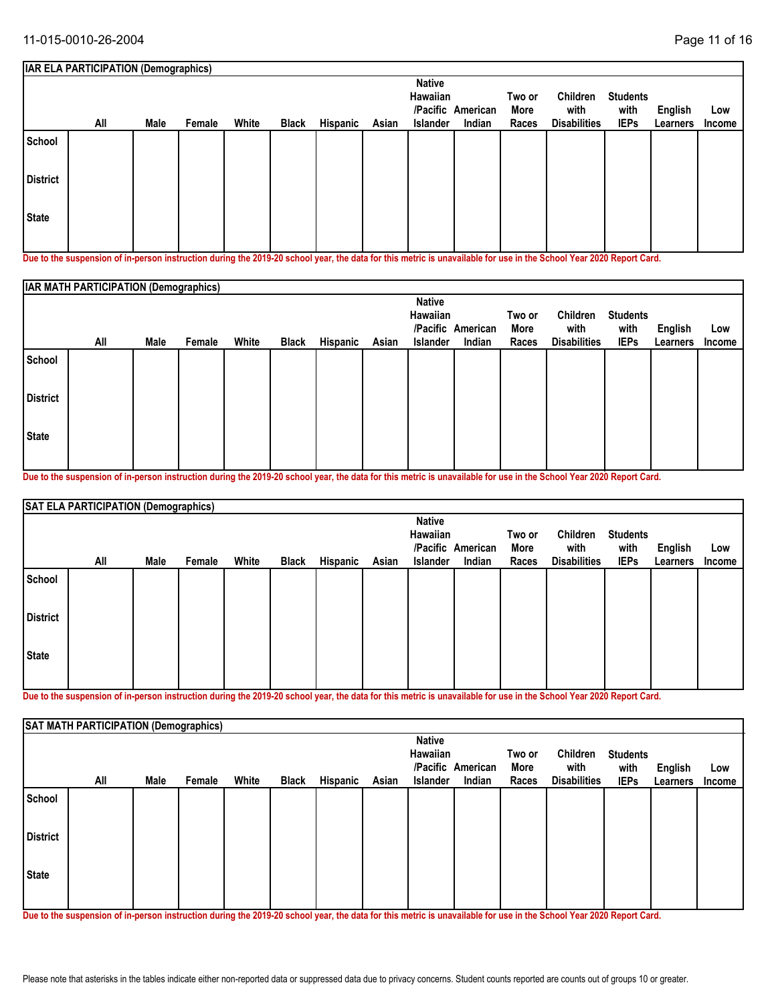|                 | <b>IAR ELA PARTICIPATION (Demographics)</b>                                                                                                                         |      |        |       |              |          |       |                                              |                             |                         |                                         |                                        |                     |               |
|-----------------|---------------------------------------------------------------------------------------------------------------------------------------------------------------------|------|--------|-------|--------------|----------|-------|----------------------------------------------|-----------------------------|-------------------------|-----------------------------------------|----------------------------------------|---------------------|---------------|
|                 | All                                                                                                                                                                 | Male | Female | White | <b>Black</b> | Hispanic | Asian | <b>Native</b><br>Hawaiian<br><b>Islander</b> | /Pacific American<br>Indian | Two or<br>More<br>Races | Children<br>with<br><b>Disabilities</b> | <b>Students</b><br>with<br><b>IEPs</b> | English<br>Learners | Low<br>Income |
| School          |                                                                                                                                                                     |      |        |       |              |          |       |                                              |                             |                         |                                         |                                        |                     |               |
| <b>District</b> |                                                                                                                                                                     |      |        |       |              |          |       |                                              |                             |                         |                                         |                                        |                     |               |
| <b>State</b>    |                                                                                                                                                                     |      |        |       |              |          |       |                                              |                             |                         |                                         |                                        |                     |               |
|                 | Due to the composition of in access instruction during the 9040-90 solecel was the date for this metals in magnifichile for use in the Cabool Vasa 9090 Densat Card |      |        |       |              |          |       |                                              |                             |                         |                                         |                                        |                     |               |

**Due to the suspension of in-person instruction during the 2019-20 school year, the data for this metric is unavailable for use in the School Year 2020 Report Card.**

|                 | <b>IAR MATH PARTICIPATION (Demographics)</b> |      |        |       |              |          |       |                                       |                             |                         |                                         |                                        |                            |               |
|-----------------|----------------------------------------------|------|--------|-------|--------------|----------|-------|---------------------------------------|-----------------------------|-------------------------|-----------------------------------------|----------------------------------------|----------------------------|---------------|
|                 | All                                          | Male | Female | White | <b>Black</b> | Hispanic | Asian | <b>Native</b><br>Hawaiian<br>Islander | /Pacific American<br>Indian | Two or<br>More<br>Races | Children<br>with<br><b>Disabilities</b> | <b>Students</b><br>with<br><b>IEPs</b> | <b>English</b><br>Learners | Low<br>Income |
| School          |                                              |      |        |       |              |          |       |                                       |                             |                         |                                         |                                        |                            |               |
| <b>District</b> |                                              |      |        |       |              |          |       |                                       |                             |                         |                                         |                                        |                            |               |
| <b>State</b>    |                                              |      |        |       |              |          |       |                                       |                             |                         |                                         |                                        |                            |               |

**Due to the suspension of in-person instruction during the 2019-20 school year, the data for this metric is unavailable for use in the School Year 2020 Report Card.**

|                 | SAT ELA PARTICIPATION (Demographics) |      |        |       |              |          |       |                                              |                             |                         |                                         |                                        |                     |               |
|-----------------|--------------------------------------|------|--------|-------|--------------|----------|-------|----------------------------------------------|-----------------------------|-------------------------|-----------------------------------------|----------------------------------------|---------------------|---------------|
|                 | All                                  | Male | Female | White | <b>Black</b> | Hispanic | Asian | <b>Native</b><br><b>Hawaiian</b><br>Islander | /Pacific American<br>Indian | Two or<br>More<br>Races | Children<br>with<br><b>Disabilities</b> | <b>Students</b><br>with<br><b>IEPs</b> | English<br>Learners | Low<br>Income |
| School          |                                      |      |        |       |              |          |       |                                              |                             |                         |                                         |                                        |                     |               |
| <b>District</b> |                                      |      |        |       |              |          |       |                                              |                             |                         |                                         |                                        |                     |               |
| State           |                                      |      |        |       |              |          |       |                                              |                             |                         |                                         |                                        |                     |               |

**Due to the suspension of in-person instruction during the 2019-20 school year, the data for this metric is unavailable for use in the School Year 2020 Report Card.**

|                 | SAT MATH PARTICIPATION (Demographics) |      |        |       |              |          |       |                                       |                             |                         |                                         |                                        |                     |               |
|-----------------|---------------------------------------|------|--------|-------|--------------|----------|-------|---------------------------------------|-----------------------------|-------------------------|-----------------------------------------|----------------------------------------|---------------------|---------------|
|                 | All                                   | Male | Female | White | <b>Black</b> | Hispanic | Asian | <b>Native</b><br>Hawaiian<br>Islander | /Pacific American<br>Indian | Two or<br>More<br>Races | Children<br>with<br><b>Disabilities</b> | <b>Students</b><br>with<br><b>IEPs</b> | English<br>Learners | Low<br>Income |
| School          |                                       |      |        |       |              |          |       |                                       |                             |                         |                                         |                                        |                     |               |
| <b>District</b> |                                       |      |        |       |              |          |       |                                       |                             |                         |                                         |                                        |                     |               |
| State           |                                       |      |        |       |              |          |       |                                       |                             |                         |                                         |                                        |                     |               |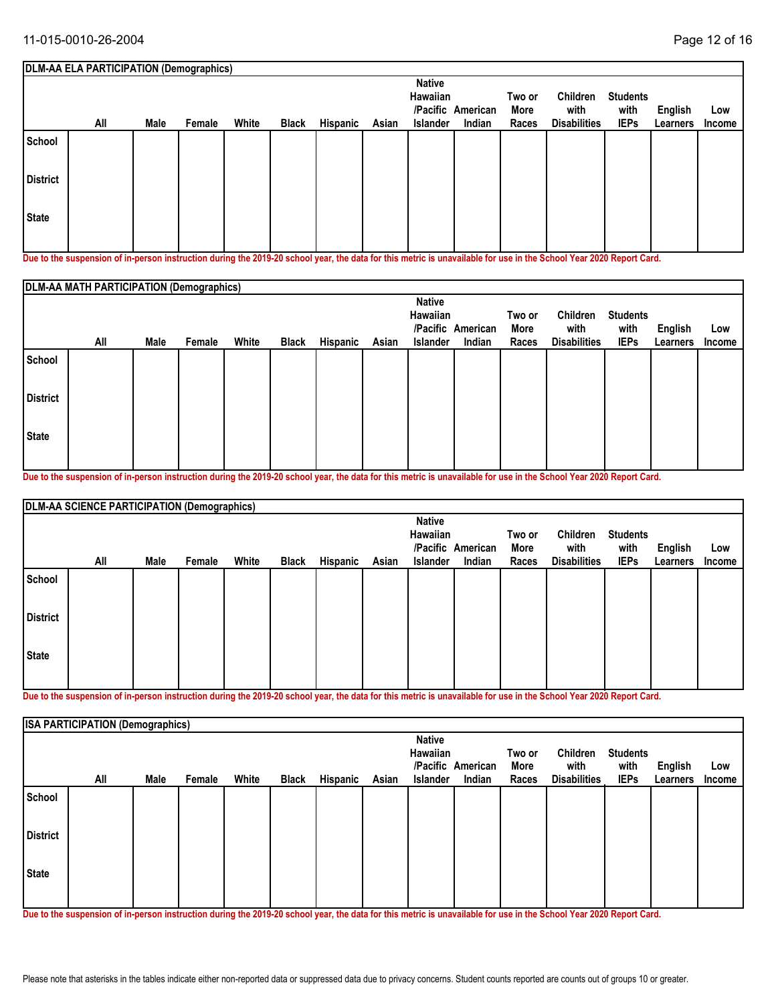|                 | DLM-AA ELA PARTICIPATION (Demographics)                                                                                                                    |      |        |       |              |          |       |                                                          |                    |                         |                                         |                                        |                     |               |
|-----------------|------------------------------------------------------------------------------------------------------------------------------------------------------------|------|--------|-------|--------------|----------|-------|----------------------------------------------------------|--------------------|-------------------------|-----------------------------------------|----------------------------------------|---------------------|---------------|
|                 | All                                                                                                                                                        | Male | Female | White | <b>Black</b> | Hispanic | Asian | <b>Native</b><br>Hawaiian<br>/Pacific<br><b>Islander</b> | American<br>Indian | Two or<br>More<br>Races | Children<br>with<br><b>Disabilities</b> | <b>Students</b><br>with<br><b>IEPs</b> | English<br>Learners | Low<br>Income |
| School          |                                                                                                                                                            |      |        |       |              |          |       |                                                          |                    |                         |                                         |                                        |                     |               |
| <b>District</b> |                                                                                                                                                            |      |        |       |              |          |       |                                                          |                    |                         |                                         |                                        |                     |               |
| l State         |                                                                                                                                                            |      |        |       |              |          |       |                                                          |                    |                         |                                         |                                        |                     |               |
|                 | Dua ta tha ananantan af in naman inaturatiwa dimina tha 9040.90 aghaal wan tha data farthis matuja in manailahla farma in tha Cabaal Vaau 9090 Danaut Caud |      |        |       |              |          |       |                                                          |                    |                         |                                         |                                        |                     |               |

**Due to the suspension of in-person instruction during the 2019-20 school year, the data for this metric is unavailable for use in the School Year 2020 Report Card.**

|                 | DLM-AA MATH PARTICIPATION (Demographics) |      |        |       |              |          |       |                                       |                             |                         |                                         |                                        |                            |               |
|-----------------|------------------------------------------|------|--------|-------|--------------|----------|-------|---------------------------------------|-----------------------------|-------------------------|-----------------------------------------|----------------------------------------|----------------------------|---------------|
|                 | All                                      | Male | Female | White | <b>Black</b> | Hispanic | Asian | <b>Native</b><br>Hawaiian<br>Islander | /Pacific American<br>Indian | Two or<br>More<br>Races | Children<br>with<br><b>Disabilities</b> | <b>Students</b><br>with<br><b>IEPs</b> | <b>English</b><br>Learners | Low<br>Income |
| School          |                                          |      |        |       |              |          |       |                                       |                             |                         |                                         |                                        |                            |               |
| <b>District</b> |                                          |      |        |       |              |          |       |                                       |                             |                         |                                         |                                        |                            |               |
| <b>State</b>    |                                          |      |        |       |              |          |       |                                       |                             |                         |                                         |                                        |                            |               |

**Due to the suspension of in-person instruction during the 2019-20 school year, the data for this metric is unavailable for use in the School Year 2020 Report Card.**

|                 | DLM-AA SCIENCE PARTICIPATION (Demographics) |      |        |       |       |          |       |                 |                   |        |                     |                 |          |        |
|-----------------|---------------------------------------------|------|--------|-------|-------|----------|-------|-----------------|-------------------|--------|---------------------|-----------------|----------|--------|
|                 |                                             |      |        |       |       |          |       | <b>Native</b>   |                   |        |                     |                 |          |        |
|                 |                                             |      |        |       |       |          |       | Hawaiian        |                   | Two or | Children            | <b>Students</b> |          |        |
|                 |                                             |      |        |       |       |          |       |                 | /Pacific American | More   | with                | with            | English  | Low    |
|                 | All                                         | Male | Female | White | Black | Hispanic | Asian | <b>Islander</b> | Indian            | Races  | <b>Disabilities</b> | <b>IEPs</b>     | Learners | Income |
| School          |                                             |      |        |       |       |          |       |                 |                   |        |                     |                 |          |        |
| <b>District</b> |                                             |      |        |       |       |          |       |                 |                   |        |                     |                 |          |        |
| <b>State</b>    |                                             |      |        |       |       |          |       |                 |                   |        |                     |                 |          |        |
|                 |                                             |      |        |       |       |          |       |                 |                   |        |                     |                 |          |        |

**Due to the suspension of in-person instruction during the 2019-20 school year, the data for this metric is unavailable for use in the School Year 2020 Report Card.**

|                 | <b>ISA PARTICIPATION (Demographics)</b> |      |        |       |              |          |       |                                       |                             |                         |                                         |                                        |                     |                      |
|-----------------|-----------------------------------------|------|--------|-------|--------------|----------|-------|---------------------------------------|-----------------------------|-------------------------|-----------------------------------------|----------------------------------------|---------------------|----------------------|
|                 | All                                     | Male | Female | White | <b>Black</b> | Hispanic | Asian | <b>Native</b><br>Hawaiian<br>Islander | /Pacific American<br>Indian | Two or<br>More<br>Races | Children<br>with<br><b>Disabilities</b> | <b>Students</b><br>with<br><b>IEPs</b> | English<br>Learners | Low<br><b>Income</b> |
| School          |                                         |      |        |       |              |          |       |                                       |                             |                         |                                         |                                        |                     |                      |
| <b>District</b> |                                         |      |        |       |              |          |       |                                       |                             |                         |                                         |                                        |                     |                      |
| <b>State</b>    |                                         |      |        |       |              |          |       |                                       |                             |                         |                                         |                                        |                     |                      |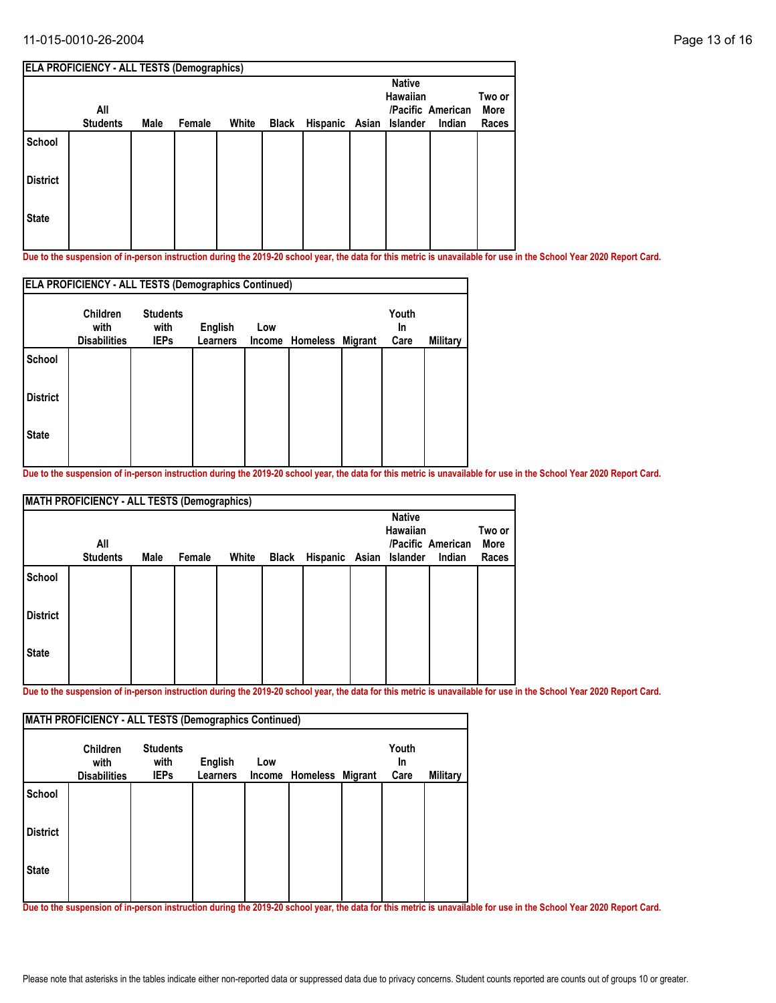#### 11-015-0010-26-2004 Page 13 of 16

|                 | <b>ELA PROFICIENCY - ALL TESTS (Demographics)</b> |      |        |       |       |                         |               |                   |                |
|-----------------|---------------------------------------------------|------|--------|-------|-------|-------------------------|---------------|-------------------|----------------|
|                 |                                                   |      |        |       |       |                         | <b>Native</b> |                   |                |
|                 | All                                               |      |        |       |       |                         | Hawaiian      | /Pacific American | Two or<br>More |
|                 | <b>Students</b>                                   | Male | Female | White | Black | Hispanic Asian Islander |               | Indian            | Races          |
| <b>School</b>   |                                                   |      |        |       |       |                         |               |                   |                |
| <b>District</b> |                                                   |      |        |       |       |                         |               |                   |                |
| <b>State</b>    |                                                   |      |        |       |       |                         |               |                   |                |
|                 |                                                   |      |        |       |       |                         |               |                   |                |

**Due to the suspension of in-person instruction during the 2019-20 school year, the data for this metric is unavailable for use in the School Year 2020 Report Card.**

|                 |                                         |                                        |                            | <b>ELA PROFICIENCY - ALL TESTS (Demographics Continued)</b> |                  |  |                     |          |  |  |  |
|-----------------|-----------------------------------------|----------------------------------------|----------------------------|-------------------------------------------------------------|------------------|--|---------------------|----------|--|--|--|
|                 | Children<br>with<br><b>Disabilities</b> | <b>Students</b><br>with<br><b>IEPs</b> | <b>English</b><br>Learners | Low<br>Income                                               | Homeless Migrant |  | Youth<br>In<br>Care | Military |  |  |  |
| <b>School</b>   |                                         |                                        |                            |                                                             |                  |  |                     |          |  |  |  |
| <b>District</b> |                                         |                                        |                            |                                                             |                  |  |                     |          |  |  |  |
| <b>State</b>    |                                         |                                        |                            |                                                             |                  |  |                     |          |  |  |  |

**Due to the suspension of in-person instruction during the 2019-20 school year, the data for this metric is unavailable for use in the School Year 2020 Report Card.**

|                 | <b>MATH PROFICIENCY - ALL TESTS (Demographics)</b> |      |        |       |                               |                                  |                             |                         |
|-----------------|----------------------------------------------------|------|--------|-------|-------------------------------|----------------------------------|-----------------------------|-------------------------|
|                 | All<br><b>Students</b>                             | Male | Female | White | Black Hispanic Asian Islander | <b>Native</b><br><b>Hawaiian</b> | /Pacific American<br>Indian | Two or<br>More<br>Races |
| School          |                                                    |      |        |       |                               |                                  |                             |                         |
| <b>District</b> |                                                    |      |        |       |                               |                                  |                             |                         |
| <b>State</b>    |                                                    |      |        |       |                               |                                  |                             |                         |

**Due to the suspension of in-person instruction during the 2019-20 school year, the data for this metric is unavailable for use in the School Year 2020 Report Card.**

|                 | <b>Children</b><br>with | <b>Students</b><br>with | <b>English</b>  | Low |                         | Youth<br><b>In</b> |          |
|-----------------|-------------------------|-------------------------|-----------------|-----|-------------------------|--------------------|----------|
|                 | <b>Disabilities</b>     | <b>IEPs</b>             | <b>Learners</b> |     | Income Homeless Migrant | Care               | Military |
| <b>School</b>   |                         |                         |                 |     |                         |                    |          |
| <b>District</b> |                         |                         |                 |     |                         |                    |          |
| <b>State</b>    |                         |                         |                 |     |                         |                    |          |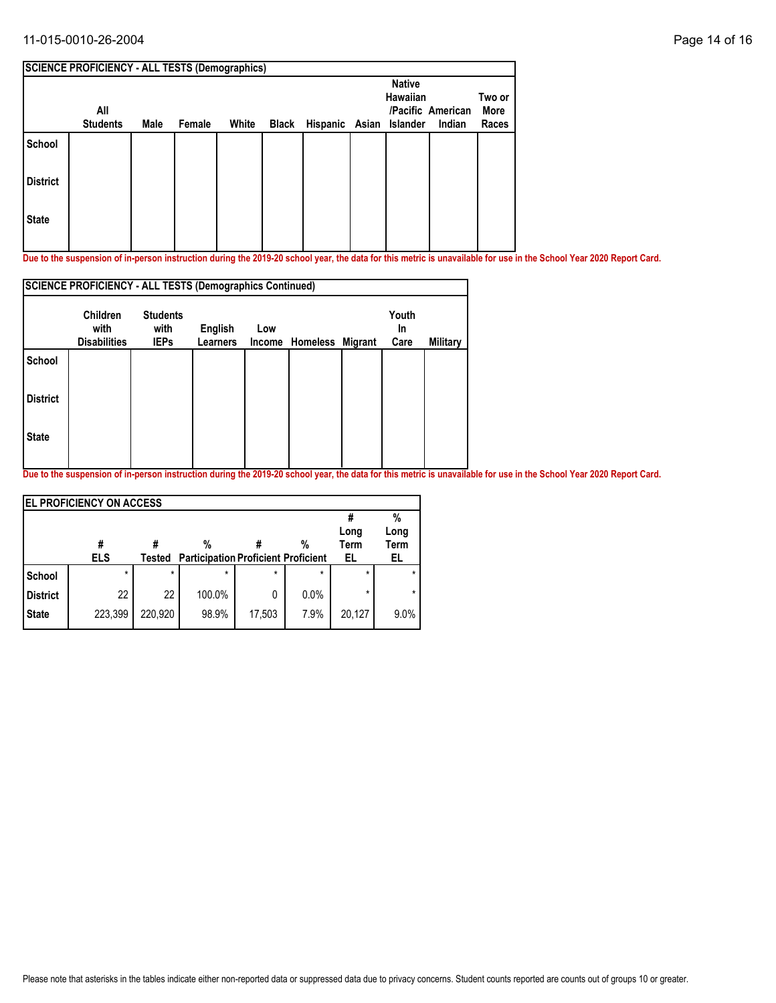#### 11-015-0010-26-2004 Page 14 of 16

|                 | <b>SCIENCE PROFICIENCY - ALL TESTS (Demographics)</b> |      |        |       |                               |                           |                             |                         |
|-----------------|-------------------------------------------------------|------|--------|-------|-------------------------------|---------------------------|-----------------------------|-------------------------|
|                 | All<br><b>Students</b>                                | Male | Female | White | Black Hispanic Asian Islander | <b>Native</b><br>Hawaiian | /Pacific American<br>Indian | Two or<br>More<br>Races |
| School          |                                                       |      |        |       |                               |                           |                             |                         |
| <b>District</b> |                                                       |      |        |       |                               |                           |                             |                         |
| <b>State</b>    |                                                       |      |        |       |                               |                           |                             |                         |

**Due to the suspension of in-person instruction during the 2019-20 school year, the data for this metric is unavailable for use in the School Year 2020 Report Card.**

|                 | <b>SCIENCE PROFICIENCY - ALL TESTS (Demographics Continued)</b> |                                        |                            |     |                         |                     |          |
|-----------------|-----------------------------------------------------------------|----------------------------------------|----------------------------|-----|-------------------------|---------------------|----------|
|                 | <b>Children</b><br>with<br><b>Disabilities</b>                  | <b>Students</b><br>with<br><b>IEPs</b> | English<br><b>Learners</b> | Low | Income Homeless Migrant | Youth<br>In<br>Care | Military |
| <b>School</b>   |                                                                 |                                        |                            |     |                         |                     |          |
| <b>District</b> |                                                                 |                                        |                            |     |                         |                     |          |
| <b>State</b>    |                                                                 |                                        |                            |     |                         |                     |          |
|                 |                                                                 |                                        |                            |     |                         |                     |          |

|                 | <b>EL PROFICIENCY ON ACCESS</b> |         |                                            |         |         |             |      |  |  |
|-----------------|---------------------------------|---------|--------------------------------------------|---------|---------|-------------|------|--|--|
|                 |                                 |         |                                            |         |         |             | %    |  |  |
|                 |                                 |         |                                            |         |         | Long        | Long |  |  |
|                 | #                               |         | %                                          |         | %       | <b>Term</b> | Term |  |  |
|                 | <b>ELS</b>                      | Tested  | <b>Participation Proficient Proficient</b> |         |         | EL          | EL   |  |  |
| School          | $\star$                         | $\star$ | $\star$                                    | $\star$ | $\star$ | $\star$     |      |  |  |
| <b>District</b> | 22                              | 22      | 100.0%                                     | 0       | 0.0%    | *           | *    |  |  |
| <b>State</b>    | 223,399                         | 220,920 | 98.9%                                      | 17,503  | 7.9%    | 20,127      | 9.0% |  |  |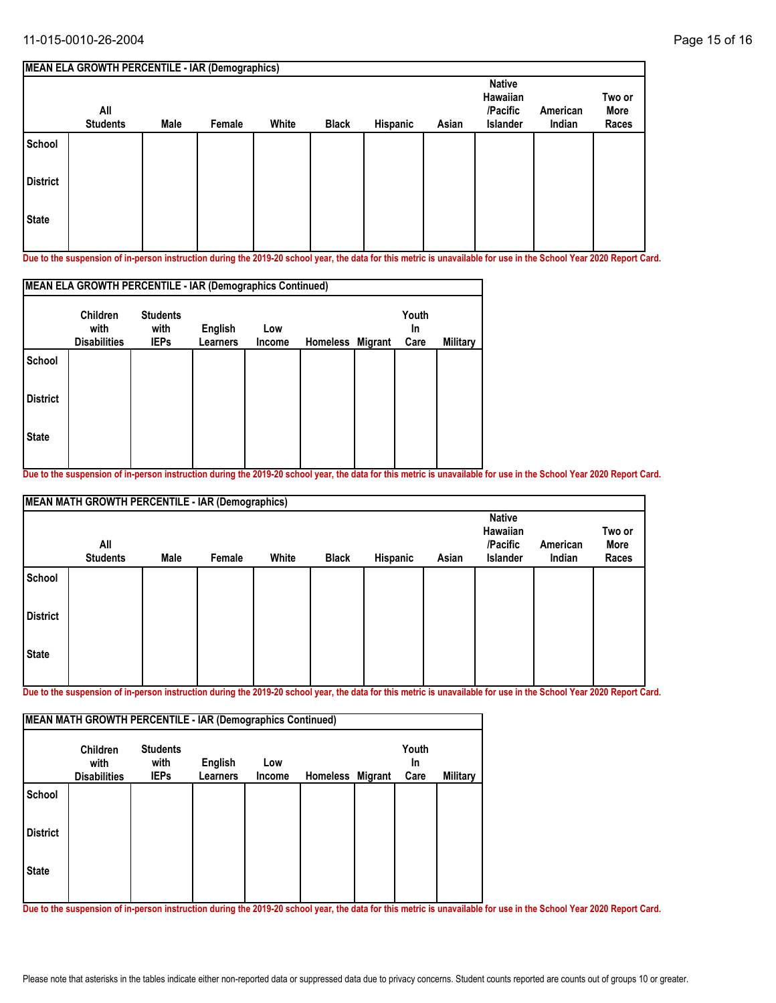|                 | <b>MEAN ELA GROWTH PERCENTILE - IAR (Demographics)</b> |             |        |       |              |          |       |                                                   |                    |                         |
|-----------------|--------------------------------------------------------|-------------|--------|-------|--------------|----------|-------|---------------------------------------------------|--------------------|-------------------------|
|                 | All<br><b>Students</b>                                 | <b>Male</b> | Female | White | <b>Black</b> | Hispanic | Asian | <b>Native</b><br>Hawaiian<br>/Pacific<br>Islander | American<br>Indian | Two or<br>More<br>Races |
| School          |                                                        |             |        |       |              |          |       |                                                   |                    |                         |
| <b>District</b> |                                                        |             |        |       |              |          |       |                                                   |                    |                         |
| <b>State</b>    |                                                        |             |        |       |              |          |       |                                                   |                    |                         |

**Due to the suspension of in-person instruction during the 2019-20 school year, the data for this metric is unavailable for use in the School Year 2020 Report Card.**

|                 | MEAN ELA GROWTH PERCENTILE - IAR (Demographics Continued)<br><b>Children</b> | <b>Students</b> |                 |        |                  | Youth |          |
|-----------------|------------------------------------------------------------------------------|-----------------|-----------------|--------|------------------|-------|----------|
|                 | with                                                                         | with            | English         | Low    |                  | In    |          |
|                 | <b>Disabilities</b>                                                          | <b>IEPs</b>     | <b>Learners</b> | Income | Homeless Migrant | Care  | Military |
| School          |                                                                              |                 |                 |        |                  |       |          |
| <b>District</b> |                                                                              |                 |                 |        |                  |       |          |
| <b>State</b>    |                                                                              |                 |                 |        |                  |       |          |
|                 |                                                                              |                 |                 |        |                  |       |          |

**Due to the suspension of in-person instruction during the 2019-20 school year, the data for this metric is unavailable for use in the School Year 2020 Report Card.**

|                 | <b>MEAN MATH GROWTH PERCENTILE - IAR (Demographics)</b> |      |        |       |              |          |       |                                                          |                    |                         |
|-----------------|---------------------------------------------------------|------|--------|-------|--------------|----------|-------|----------------------------------------------------------|--------------------|-------------------------|
|                 | All<br><b>Students</b>                                  | Male | Female | White | <b>Black</b> | Hispanic | Asian | <b>Native</b><br>Hawaiian<br>/Pacific<br><b>Islander</b> | American<br>Indian | Two or<br>More<br>Races |
| School          |                                                         |      |        |       |              |          |       |                                                          |                    |                         |
| <b>District</b> |                                                         |      |        |       |              |          |       |                                                          |                    |                         |
| <b>State</b>    |                                                         |      |        |       |              |          |       |                                                          |                    |                         |

**Due to the suspension of in-person instruction during the 2019-20 school year, the data for this metric is unavailable for use in the School Year 2020 Report Card.**

|                 | <b>Children</b><br>with | <b>Students</b><br>with | English         | Low    |                  | Youth<br>In |                 |
|-----------------|-------------------------|-------------------------|-----------------|--------|------------------|-------------|-----------------|
|                 | <b>Disabilities</b>     | <b>IEPs</b>             | <b>Learners</b> | Income | Homeless Migrant | Care        | <b>Military</b> |
| School          |                         |                         |                 |        |                  |             |                 |
| <b>District</b> |                         |                         |                 |        |                  |             |                 |
| <b>State</b>    |                         |                         |                 |        |                  |             |                 |